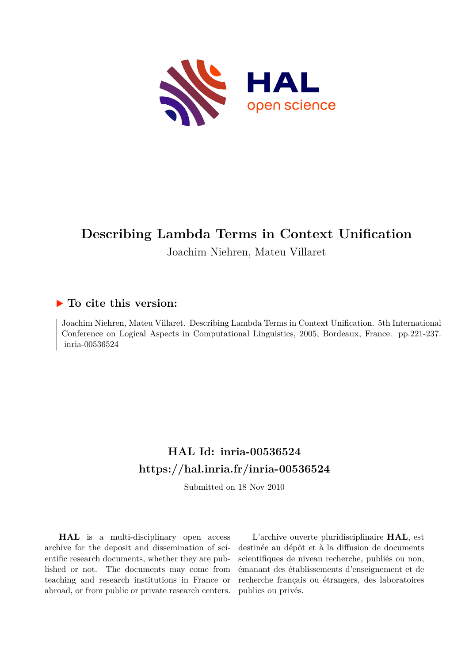

# **Describing Lambda Terms in Context Unification**

Joachim Niehren, Mateu Villaret

# **To cite this version:**

Joachim Niehren, Mateu Villaret. Describing Lambda Terms in Context Unification. 5th International Conference on Logical Aspects in Computational Linguistics, 2005, Bordeaux, France. pp.221-237. inria-00536524

# **HAL Id: inria-00536524 <https://hal.inria.fr/inria-00536524>**

Submitted on 18 Nov 2010

**HAL** is a multi-disciplinary open access archive for the deposit and dissemination of scientific research documents, whether they are published or not. The documents may come from teaching and research institutions in France or abroad, or from public or private research centers.

L'archive ouverte pluridisciplinaire **HAL**, est destinée au dépôt et à la diffusion de documents scientifiques de niveau recherche, publiés ou non, émanant des établissements d'enseignement et de recherche français ou étrangers, des laboratoires publics ou privés.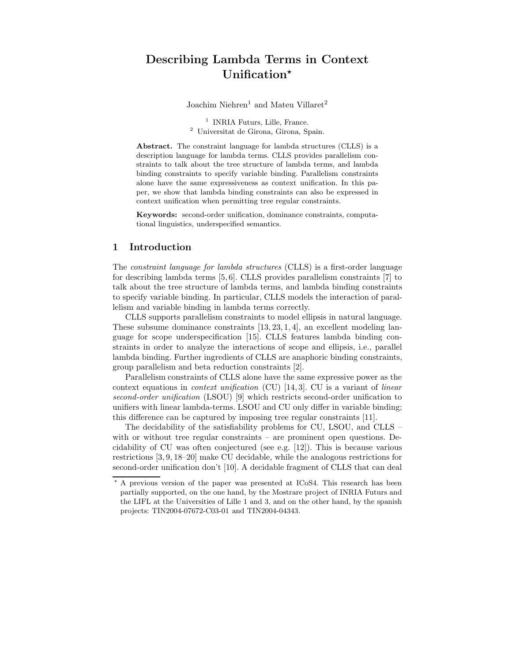# Describing Lambda Terms in Context Unification\*

Joachim Niehren<sup>1</sup> and Mateu Villaret<sup>2</sup>

<sup>1</sup> INRIA Futurs, Lille, France. <sup>2</sup> Universitat de Girona, Girona, Spain.

Abstract. The constraint language for lambda structures (CLLS) is a description language for lambda terms. CLLS provides parallelism constraints to talk about the tree structure of lambda terms, and lambda binding constraints to specify variable binding. Parallelism constraints alone have the same expressiveness as context unification. In this paper, we show that lambda binding constraints can also be expressed in context unification when permitting tree regular constraints.

Keywords: second-order unification, dominance constraints, computational linguistics, underspecified semantics.

# 1 Introduction

The constraint language for lambda structures (CLLS) is a first-order language for describing lambda terms [5, 6]. CLLS provides parallelism constraints [7] to talk about the tree structure of lambda terms, and lambda binding constraints to specify variable binding. In particular, CLLS models the interaction of parallelism and variable binding in lambda terms correctly.

CLLS supports parallelism constraints to model ellipsis in natural language. These subsume dominance constraints [13, 23, 1, 4], an excellent modeling language for scope underspecification [15]. CLLS features lambda binding constraints in order to analyze the interactions of scope and ellipsis, i.e., parallel lambda binding. Further ingredients of CLLS are anaphoric binding constraints, group parallelism and beta reduction constraints [2].

Parallelism constraints of CLLS alone have the same expressive power as the context equations in context unification (CU) [14, 3]. CU is a variant of linear second-order unification (LSOU) [9] which restricts second-order unification to unifiers with linear lambda-terms. LSOU and CU only differ in variable binding; this difference can be captured by imposing tree regular constraints [11].

The decidability of the satisfiability problems for CU, LSOU, and CLLS – with or without tree regular constraints – are prominent open questions. Decidability of CU was often conjectured (see e.g. [12]). This is because various restrictions [3, 9, 18–20] make CU decidable, while the analogous restrictions for second-order unification don't [10]. A decidable fragment of CLLS that can deal

<sup>!</sup> A previous version of the paper was presented at ICoS4. This research has been partially supported, on the one hand, by the Mostrare project of INRIA Futurs and the LIFL at the Universities of Lille 1 and 3, and on the other hand, by the spanish projects: TIN2004-07672-C03-01 and TIN2004-04343.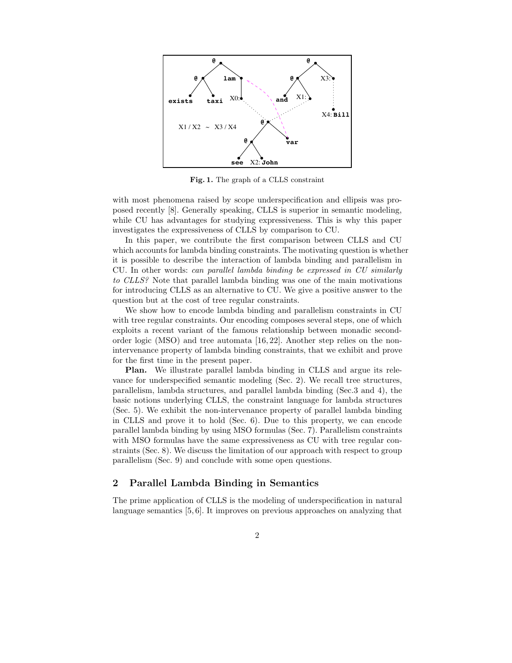

Fig. 1. The graph of a CLLS constraint

with most phenomena raised by scope underspecification and ellipsis was proposed recently [8]. Generally speaking, CLLS is superior in semantic modeling, while CU has advantages for studying expressiveness. This is why this paper investigates the expressiveness of CLLS by comparison to CU.

In this paper, we contribute the first comparison between CLLS and CU which accounts for lambda binding constraints. The motivating question is whether it is possible to describe the interaction of lambda binding and parallelism in CU. In other words: can parallel lambda binding be expressed in CU similarly to CLLS? Note that parallel lambda binding was one of the main motivations for introducing CLLS as an alternative to CU. We give a positive answer to the question but at the cost of tree regular constraints.

We show how to encode lambda binding and parallelism constraints in CU with tree regular constraints. Our encoding composes several steps, one of which exploits a recent variant of the famous relationship between monadic secondorder logic (MSO) and tree automata [16, 22]. Another step relies on the nonintervenance property of lambda binding constraints, that we exhibit and prove for the first time in the present paper.

Plan. We illustrate parallel lambda binding in CLLS and argue its relevance for underspecified semantic modeling (Sec. 2). We recall tree structures, parallelism, lambda structures, and parallel lambda binding (Sec.3 and 4), the basic notions underlying CLLS, the constraint language for lambda structures (Sec. 5). We exhibit the non-intervenance property of parallel lambda binding in CLLS and prove it to hold (Sec. 6). Due to this property, we can encode parallel lambda binding by using MSO formulas (Sec. 7). Parallelism constraints with MSO formulas have the same expressiveness as CU with tree regular constraints (Sec. 8). We discuss the limitation of our approach with respect to group parallelism (Sec. 9) and conclude with some open questions.

# 2 Parallel Lambda Binding in Semantics

The prime application of CLLS is the modeling of underspecification in natural language semantics [5, 6]. It improves on previous approaches on analyzing that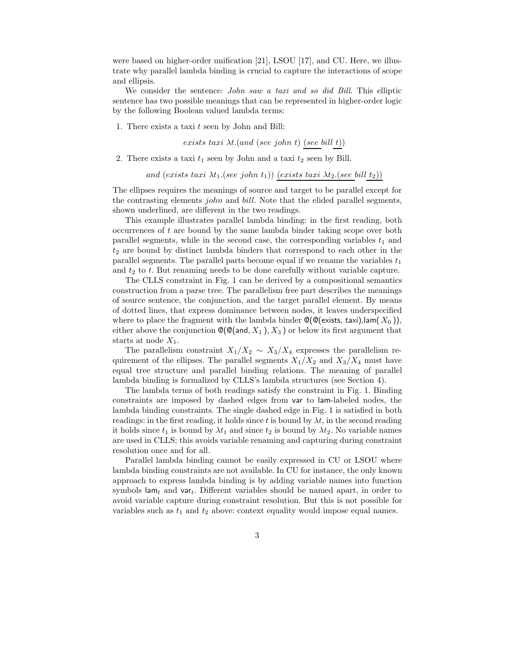were based on higher-order unification [21], LSOU [17], and CU. Here, we illustrate why parallel lambda binding is crucial to capture the interactions of scope and ellipsis.

We consider the sentence: *John saw a taxi and so did Bill*. This elliptic sentence has two possible meanings that can be represented in higher-order logic by the following Boolean valued lambda terms:

1. There exists a taxi  $t$  seen by John and Bill:

exists taxi  $\lambda t$ . (and (see john t) (see bill t))

2. There exists a taxi  $t_1$  seen by John and a taxi  $t_2$  seen by Bill.

and (exists taxi  $\lambda t_1$ .(see john  $t_1$ )) (exists taxi  $\lambda t_2$ .(see bill  $t_2$ ))

The ellipses requires the meanings of source and target to be parallel except for the contrasting elements john and bill. Note that the elided parallel segments, shown underlined, are different in the two readings.

This example illustrates parallel lambda binding: in the first reading, both occurrences of  $t$  are bound by the same lambda binder taking scope over both parallel segments, while in the second case, the corresponding variables  $t_1$  and  $t_2$  are bound by distinct lambda binders that correspond to each other in the parallel segments. The parallel parts become equal if we rename the variables  $t_1$ and  $t_2$  to  $t$ . But renaming needs to be done carefully without variable capture.

The CLLS constraint in Fig. 1 can be derived by a compositional semantics construction from a parse tree. The parallelism free part describes the meanings of source sentence, the conjunction, and the target parallel element. By means of dotted lines, that express dominance between nodes, it leaves underspecified where to place the fragment with the lambda binder  $\mathcal{O}(\mathcal{O}(\epsilon x)$  (statistic taxi), lam(  $X_0$  )), either above the conjunction  $\mathbb{Q}(\mathbb{Q}(\text{and}, X_1), X_3)$  or below its first argument that starts at node  $X_1$ .

The parallelism constraint  $X_1/X_2 \sim X_3/X_4$  expresses the parallelism requirement of the ellipses. The parallel segments  $X_1/X_2$  and  $X_3/X_4$  must have equal tree structure and parallel binding relations. The meaning of parallel lambda binding is formalized by CLLS's lambda structures (see Section 4).

The lambda terms of both readings satisfy the constraint in Fig. 1. Binding constraints are imposed by dashed edges from var to lam-labeled nodes, the lambda binding constraints. The single dashed edge in Fig. 1 is satisfied in both readings: in the first reading, it holds since t is bound by  $\lambda t$ , in the second reading it holds since  $t_1$  is bound by  $\lambda t_1$  and since  $t_2$  is bound by  $\lambda t_2$ . No variable names are used in CLLS; this avoids variable renaming and capturing during constraint resolution once and for all.

Parallel lambda binding cannot be easily expressed in CU or LSOU where lambda binding constraints are not available. In CU for instance, the only known approach to express lambda binding is by adding variable names into function symbols  $\mathsf{lam}_t$  and  $\mathsf{var}_t$ . Different variables should be named apart, in order to avoid variable capture during constraint resolution. But this is not possible for variables such as  $t_1$  and  $t_2$  above: context equality would impose equal names.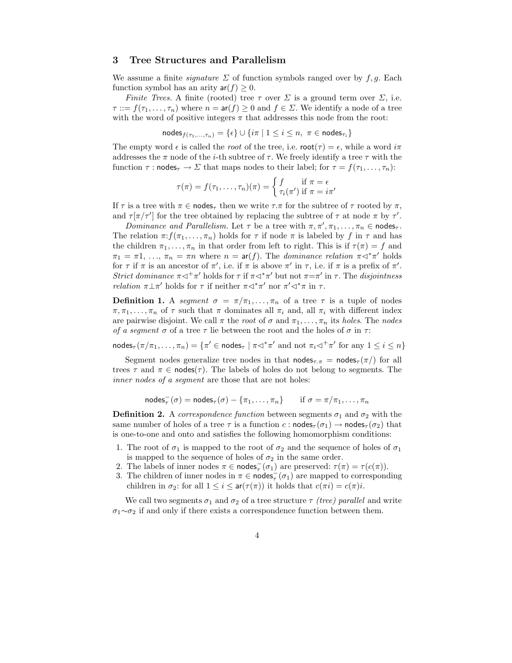### 3 Tree Structures and Parallelism

We assume a finite *signature*  $\Sigma$  of function symbols ranged over by f, g. Each function symbol has an arity  $ar(f) \geq 0$ .

*Finite Trees.* A finite (rooted) tree  $\tau$  over  $\Sigma$  is a ground term over  $\Sigma$ , i.e.  $\tau ::= f(\tau_1,\ldots,\tau_n)$  where  $n = \text{ar}(f) \geq 0$  and  $f \in \Sigma$ . We identify a node of a tree with the word of positive integers  $\pi$  that addresses this node from the root:

nodes $f_{(r_1,...,r_n)} = \{\epsilon\} \cup \{i\pi \mid 1 \leq i \leq n, \pi \in \text{nodes}_{\tau_i}\}$ 

The empty word  $\epsilon$  is called the *root* of the tree, i.e.  $\text{root}(\tau) = \epsilon$ , while a word  $i\pi$ addresses the  $\pi$  node of the *i*-th subtree of  $\tau$ . We freely identify a tree  $\tau$  with the function  $\tau$  : nodes<sub> $\tau \to \Sigma$ </sub> that maps nodes to their label; for  $\tau = f(\tau_1, \ldots, \tau_n)$ :

$$
\tau(\pi) = f(\tau_1, \dots, \tau_n)(\pi) = \begin{cases} f & \text{if } \pi = \epsilon \\ \tau_i(\pi') & \text{if } \pi = i\pi' \end{cases}
$$

If  $\tau$  is a tree with  $\pi \in \text{nodes}_{\tau}$  then we write  $\tau.\pi$  for the subtree of  $\tau$  rooted by  $\pi$ , and  $\tau[\pi/\tau']$  for the tree obtained by replacing the subtree of  $\tau$  at node  $\pi$  by  $\tau'$ .

Dominance and Parallelism. Let  $\tau$  be a tree with  $\pi, \pi', \pi_1, \ldots, \pi_n \in \text{nodes}_{\tau}$ . The relation  $\pi: f(\pi_1, \ldots, \pi_n)$  holds for  $\tau$  if node  $\pi$  is labeled by f in  $\tau$  and has the children  $\pi_1, \ldots, \pi_n$  in that order from left to right. This is if  $\tau(\pi) = f$  and  $\pi_1 = \pi 1, \ldots, \pi_n = \pi n$  where  $n = \text{ar}(f)$ . The *dominance relation*  $\pi \triangleleft^* \pi'$  holds for  $\tau$  if  $\pi$  is an ancestor of  $\pi'$ , i.e. if  $\pi$  is above  $\pi'$  in  $\tau$ , i.e. if  $\pi$  is a prefix of  $\pi'$ . Strict dominance  $\pi \lhd^+\pi'$  holds for  $\tau$  if  $\pi \lhd^*\pi'$  but not  $\pi = \pi'$  in  $\tau$ . The disjointness *relation*  $\pi \perp \pi'$  holds for  $\tau$  if neither  $\pi \lhd^* \pi'$  nor  $\pi' \lhd^* \pi$  in  $\tau$ .

**Definition 1.** A segment  $\sigma = \pi/\pi_1, \ldots, \pi_n$  of a tree  $\tau$  is a tuple of nodes  $\pi, \pi_1, \ldots, \pi_n$  of  $\tau$  such that  $\pi$  dominates all  $\pi_i$  and, all  $\pi_i$  with different index are pairwise disjoint. We call  $\pi$  the root of  $\sigma$  and  $\pi_1, \ldots, \pi_n$  its holes. The nodes of a segment  $\sigma$  of a tree  $\tau$  lie between the root and the holes of  $\sigma$  in  $\tau$ :

nodes<sub>τ</sub> ( $\pi/\pi_1, \ldots, \pi_n$ ) = { $\pi' \in \text{nodes}_{\tau}$  |  $\pi \lhd^* \pi'$  and not  $\pi_i \lhd^+ \pi'$  for any  $1 \leq i \leq n$ }

Segment nodes generalize tree nodes in that  $\text{nodes}_{\tau,\pi} = \text{nodes}_{\tau}(\pi)$  for all trees  $\tau$  and  $\pi \in \text{nodes}(\tau)$ . The labels of holes do not belong to segments. The inner nodes of a segment are those that are not holes:

$$
\mathsf{nodes}_{\tau}^{-}(\sigma) = \mathsf{nodes}_{\tau}(\sigma) - \{\pi_1, \ldots, \pi_n\} \quad \text{if } \sigma = \pi/\pi_1, \ldots, \pi_n
$$

**Definition 2.** A correspondence function between segments  $\sigma_1$  and  $\sigma_2$  with the same number of holes of a tree  $\tau$  is a function  $c : \text{nodes}_{\tau}(\sigma_1) \to \text{nodes}_{\tau}(\sigma_2)$  that is one-to-one and onto and satisfies the following homomorphism conditions:

- 1. The root of  $\sigma_1$  is mapped to the root of  $\sigma_2$  and the sequence of holes of  $\sigma_1$ is mapped to the sequence of holes of  $\sigma_2$  in the same order.
- 2. The labels of inner nodes  $\pi \in \text{nodes}_{\tau}(\sigma_1)$  are preserved:  $\tau(\pi) = \tau(c(\pi))$ .
- 3. The children of inner nodes in  $\pi \in \text{nodes}_{\tau}(\sigma_1)$  are mapped to corresponding children in  $\sigma_2$ : for all  $1 \leq i \leq \text{ar}(\tau(\pi))$  it holds that  $c(\pi i) = c(\pi)i$ .

We call two segments  $\sigma_1$  and  $\sigma_2$  of a tree structure  $\tau$  (tree) parallel and write  $\sigma_1 \sim \sigma_2$  if and only if there exists a correspondence function between them.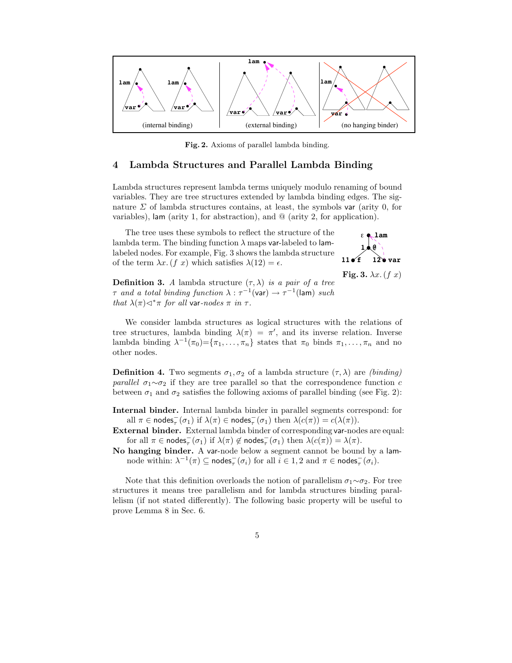

Fig. 2. Axioms of parallel lambda binding.

# 4 Lambda Structures and Parallel Lambda Binding

Lambda structures represent lambda terms uniquely modulo renaming of bound variables. They are tree structures extended by lambda binding edges. The signature  $\Sigma$  of lambda structures contains, at least, the symbols var (arity 0, for variables), lam (arity 1, for abstraction), and @ (arity 2, for application).

The tree uses these symbols to reflect the structure of the lambda term. The binding function  $\lambda$  maps var-labeled to lamlabeled nodes. For example, Fig. 3 shows the lambda structure of the term  $\lambda x. (f \ x)$  which satisfies  $\lambda(12) = \epsilon$ .



Fig. 3.  $\lambda x. (f x)$ 

**Definition 3.** A lambda structure  $(\tau, \lambda)$  is a pair of a tree  $\tau$  and a total binding function  $\lambda : \tau^{-1}(\text{var}) \to \tau^{-1}(\text{lam})$  such that  $\lambda(\pi) \triangleleft^* \pi$  for all var-nodes  $\pi$  in  $\tau$ .

We consider lambda structures as logical structures with the relations of tree structures, lambda binding  $\lambda(\pi) = \pi'$ , and its inverse relation. Inverse lambda binding  $\lambda^{-1}(\pi_0) = {\pi_1, \ldots, \pi_n}$  states that  $\pi_0$  binds  $\pi_1, \ldots, \pi_n$  and no other nodes.

**Definition 4.** Two segments  $\sigma_1, \sigma_2$  of a lambda structure  $(\tau, \lambda)$  are *(binding) parallel*  $\sigma_1 \sim \sigma_2$  if they are tree parallel so that the correspondence function c between  $\sigma_1$  and  $\sigma_2$  satisfies the following axioms of parallel binding (see Fig. 2):

Internal binder. Internal lambda binder in parallel segments correspond: for all  $\pi \in \text{nodes}_{\tau}^{-}(\sigma_1)$  if  $\lambda(\pi) \in \text{nodes}_{\tau}^{-}(\sigma_1)$  then  $\lambda(c(\pi)) = c(\lambda(\pi))$ .

External binder. External lambda binder of corresponding var-nodes are equal: for all  $\pi \in \textsf{nodes}_{\tau}^{-}(\sigma_1)$  if  $\lambda(\pi) \notin \textsf{nodes}_{\tau}^{-}(\sigma_1)$  then  $\lambda(c(\pi)) = \lambda(\pi)$ .

No hanging binder. A var-node below a segment cannot be bound by a lamnode within:  $\lambda^{-1}(\pi) \subseteq \textsf{nodes}_{\tau}^-(\sigma_i)$  for all  $i \in 1, 2$  and  $\pi \in \textsf{nodes}_{\tau}^-(\sigma_i)$ .

Note that this definition overloads the notion of parallelism  $\sigma_1 \sim \sigma_2$ . For tree structures it means tree parallelism and for lambda structures binding parallelism (if not stated differently). The following basic property will be useful to prove Lemma 8 in Sec. 6.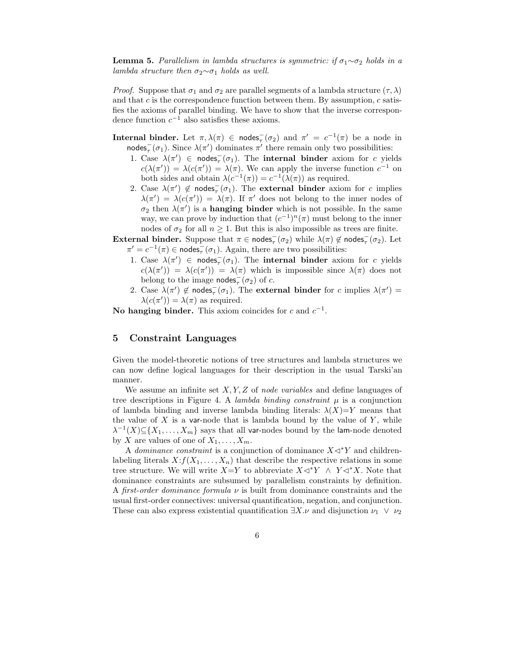**Lemma 5.** Parallelism in lambda structures is symmetric: if  $\sigma_1 \sim \sigma_2$  holds in a lambda structure then  $\sigma_2 \sim \sigma_1$  holds as well.

*Proof.* Suppose that  $\sigma_1$  and  $\sigma_2$  are parallel segments of a lambda structure  $(\tau, \lambda)$ and that  $c$  is the correspondence function between them. By assumption,  $c$  satisfies the axioms of parallel binding. We have to show that the inverse correspondence function  $c^{-1}$  also satisfies these axioms.

**Internal binder.** Let  $\pi$ ,  $\lambda(\pi) \in \text{nodes}_{\tau}(\sigma_2)$  and  $\pi' = c^{-1}(\pi)$  be a node in nodes<sub> $\tau$ </sub> $(\sigma_1)$ . Since  $\lambda(\pi')$  dominates  $\pi'$  there remain only two possibilities:

- 1. Case  $\lambda(\pi') \in \text{nodes}_{\tau}(\sigma_1)$ . The **internal binder** axiom for c yields  $c(\lambda(\pi')) = \lambda(c(\pi')) = \lambda(\pi)$ . We can apply the inverse function  $c^{-1}$  on both sides and obtain  $\lambda(c^{-1}(\pi)) = c^{-1}(\lambda(\pi))$  as required.
- 2. Case  $\lambda(\pi') \notin \text{nodes}_{\tau}(\sigma_1)$ . The external binder axiom for c implies  $\lambda(\pi') = \lambda(c(\pi')) = \lambda(\pi)$ . If  $\pi'$  does not belong to the inner nodes of  $\sigma_2$  then  $\lambda(\pi')$  is a **hanging binder** which is not possible. In the same way, we can prove by induction that  $(c^{-1})^n(\pi)$  must belong to the inner nodes of  $\sigma_2$  for all  $n \geq 1$ . But this is also impossible as trees are finite.

External binder. Suppose that  $\pi \in \text{nodes}_{\tau}(\sigma_2)$  while  $\lambda(\pi) \notin \text{nodes}_{\tau}(\sigma_2)$ . Let  $\pi' = c^{-1}(\pi) \in \text{nodes}_{\tau}(\sigma_1)$ . Again, there are two possibilities:

- 1. Case  $\lambda(\pi') \in \text{nodes}_{\tau}(\sigma_1)$ . The **internal binder** axiom for c yields  $c(\lambda(\pi')) = \lambda(c(\pi')) = \lambda(\pi)$  which is impossible since  $\lambda(\pi)$  does not belong to the image nodes<sub> $\tau$ </sub> $(\sigma_2)$  of c.
- 2. Case  $\lambda(\pi') \notin \text{nodes}_{\tau}^-(\sigma_1)$ . The external binder for c implies  $\lambda(\pi') =$  $\lambda(c(\pi')) = \lambda(\pi)$  as required.

No hanging binder. This axiom coincides for c and  $c^{-1}$ .

## 5 Constraint Languages

Given the model-theoretic notions of tree structures and lambda structures we can now define logical languages for their description in the usual Tarski'an manner.

We assume an infinite set  $X, Y, Z$  of node variables and define languages of tree descriptions in Figure 4. A lambda binding constraint  $\mu$  is a conjunction of lambda binding and inverse lambda binding literals:  $\lambda(X)=Y$  means that the value of  $X$  is a var-node that is lambda bound by the value of  $Y$ , while  $\lambda^{-1}(X) \subseteq \{X_1, \ldots, X_m\}$  says that all var-nodes bound by the lam-node denoted by X are values of one of  $X_1, \ldots, X_m$ .

A dominance constraint is a conjunction of dominance  $X \triangleleft^* Y$  and childrenlabeling literals  $X: f(X_1, \ldots, X_n)$  that describe the respective relations in some tree structure. We will write  $X=Y$  to abbreviate  $X\lhd^*Y \wedge Y\lhd^*X$ . Note that dominance constraints are subsumed by parallelism constraints by definition. A first-order dominance formula  $\nu$  is built from dominance constraints and the usual first-order connectives: universal quantification, negation, and conjunction. These can also express existential quantification  $\exists X.\nu$  and disjunction  $\nu_1 \vee \nu_2$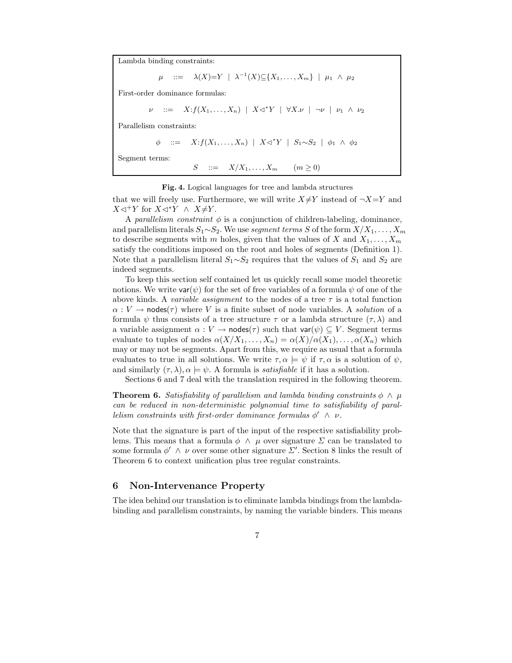Lambda binding constraints:

::=  $\lambda(X)=Y \ \mid \ \lambda^{-1}(X)\subseteq {X_1,\ldots,X_m} \ \mid \ \mu_1 \ \wedge \ \mu_2$ 

First-order dominance formulas:

$$
\nu \quad ::= \quad X : f(X_1, \ldots, X_n) \mid X \triangleleft^* Y \mid \forall X . \nu \mid \neg \nu \mid \nu_1 \wedge \nu_2
$$

Parallelism constraints:

$$
\phi \quad ::= \quad X : f(X_1, \ldots, X_n) \mid X \triangleleft^* Y \mid S_1 \sim S_2 \mid \phi_1 \land \phi_2
$$

Segment terms:

 $S$  ::=  $X/X_1, ..., X_m$   $(m \ge 0)$ 

#### Fig. 4. Logical languages for tree and lambda structures

that we will freely use. Furthermore, we will write  $X\neq Y$  instead of  $\neg X=Y$  and  $X \triangleleft Y$  for  $X \triangleleft Y \wedge X \neq Y$ .

A parallelism constraint  $\phi$  is a conjunction of children-labeling, dominance, and parallelism literals  $S_1 \sim S_2$ . We use segment terms S of the form  $X/X_1, \ldots, X_m$ to describe segments with m holes, given that the values of X and  $X_1, \ldots, X_m$ satisfy the conditions imposed on the root and holes of segments (Definition 1). Note that a parallelism literal  $S_1 \sim S_2$  requires that the values of  $S_1$  and  $S_2$  are indeed segments.

To keep this section self contained let us quickly recall some model theoretic notions. We write  $var(\psi)$  for the set of free variables of a formula  $\psi$  of one of the above kinds. A variable assignment to the nodes of a tree  $\tau$  is a total function  $\alpha: V \to \text{nodes}(\tau)$  where V is a finite subset of node variables. A solution of a formula  $\psi$  thus consists of a tree structure  $\tau$  or a lambda structure  $(\tau, \lambda)$  and a variable assignment  $\alpha : V \to \text{nodes}(\tau)$  such that  $\text{var}(\psi) \subseteq V$ . Segment terms evaluate to tuples of nodes  $\alpha(X/X_1,\ldots,X_n) = \alpha(X)/\alpha(X_1),\ldots,\alpha(X_n)$  which may or may not be segments. Apart from this, we require as usual that a formula evaluates to true in all solutions. We write  $\tau, \alpha \models \psi$  if  $\tau, \alpha$  is a solution of  $\psi$ , and similarly  $(\tau, \lambda)$ ,  $\alpha \models \psi$ . A formula is *satisfiable* if it has a solution.

Sections 6 and 7 deal with the translation required in the following theorem.

**Theorem 6.** Satisfiability of parallelism and lambda binding constraints  $\phi \wedge \mu$ can be reduced in non-deterministic polynomial time to satisfiability of parallelism constraints with first-order dominance formulas  $\phi' \wedge \nu$ .

Note that the signature is part of the input of the respective satisfiability problems. This means that a formula  $\phi \land \mu$  over signature  $\Sigma$  can be translated to some formula  $\phi' \wedge \nu$  over some other signature  $\Sigma'$ . Section 8 links the result of Theorem 6 to context unification plus tree regular constraints.

### 6 Non-Intervenance Property

The idea behind our translation is to eliminate lambda bindings from the lambdabinding and parallelism constraints, by naming the variable binders. This means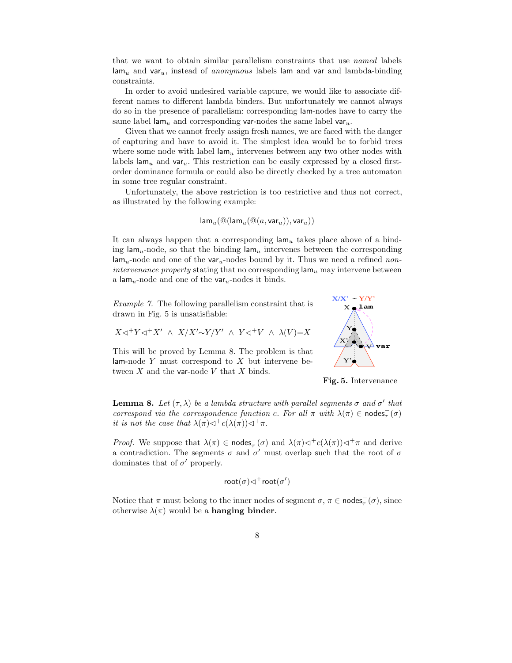that we want to obtain similar parallelism constraints that use named labels  $\lim_{u}$  and var<sub>u</sub>, instead of *anonymous* labels lam and var and lambda-binding constraints.

In order to avoid undesired variable capture, we would like to associate different names to different lambda binders. But unfortunately we cannot always do so in the presence of parallelism: corresponding lam-nodes have to carry the same label lam<sub>u</sub> and corresponding var-nodes the same label var<sub>u</sub>.

Given that we cannot freely assign fresh names, we are faced with the danger of capturing and have to avoid it. The simplest idea would be to forbid trees where some node with label  $\mathsf{lam}_u$  intervenes between any two other nodes with labels  $\lim_{u \to 0}$  and  $\varphi$  var<sub>u</sub>. This restriction can be easily expressed by a closed firstorder dominance formula or could also be directly checked by a tree automaton in some tree regular constraint.

Unfortunately, the above restriction is too restrictive and thus not correct, as illustrated by the following example:

$$
\mathsf{lam}_u(\mathsf{@}(\mathsf{lam}_u(\mathsf{@}(a,\mathsf{var}_u)),\mathsf{var}_u))
$$

It can always happen that a corresponding  $\text{lam}_u$  takes place above of a binding lam<sub>u</sub>-node, so that the binding lam<sub>u</sub> intervenes between the corresponding  $\lim_{u \to 0}$  and one of the var<sub>u</sub>-nodes bound by it. Thus we need a refined non*intervenance property* stating that no corresponding  $\mathsf{lam}_u$  may intervene between a lam<sub>u</sub>-node and one of the var<sub>u</sub>-nodes it binds.

Example 7. The following parallelism constraint that is drawn in Fig. 5 is unsatisfiable:

$$
X \lhd^+ Y \lhd^+ X' ~\wedge~ X/X' \! \sim \! Y/Y' ~\wedge~ Y \lhd^+ V ~\wedge~ \lambda(V) \! = \! X
$$

This will be proved by Lemma 8. The problem is that lam-node  $Y$  must correspond to  $X$  but intervene between  $X$  and the var-node  $V$  that  $X$  binds.



Fig. 5. Intervenance

**Lemma 8.** Let  $(\tau, \lambda)$  be a lambda structure with parallel segments  $\sigma$  and  $\sigma'$  that correspond via the correspondence function c. For all  $\pi$  with  $\lambda(\pi) \in \text{nodes}_{\tau}(\sigma)$ it is not the case that  $\lambda(\pi) \triangleleft^+ c(\lambda(\pi)) \triangleleft^+ \pi$ .

*Proof.* We suppose that  $\lambda(\pi) \in \text{nodes}_{\tau}(\sigma)$  and  $\lambda(\pi) \triangleleft^+ c(\lambda(\pi)) \triangleleft^+ \pi$  and derive a contradiction. The segments  $\sigma$  and  $\sigma'$  must overlap such that the root of  $\sigma$ dominates that of  $\sigma'$  properly.

$$
\mathrm{root}(\sigma){\vartriangleleft}^+\mathrm{root}(\sigma')
$$

Notice that  $\pi$  must belong to the inner nodes of segment  $\sigma, \pi \in \text{nodes}_{\tau}(\sigma)$ , since otherwise  $\lambda(\pi)$  would be a **hanging binder**.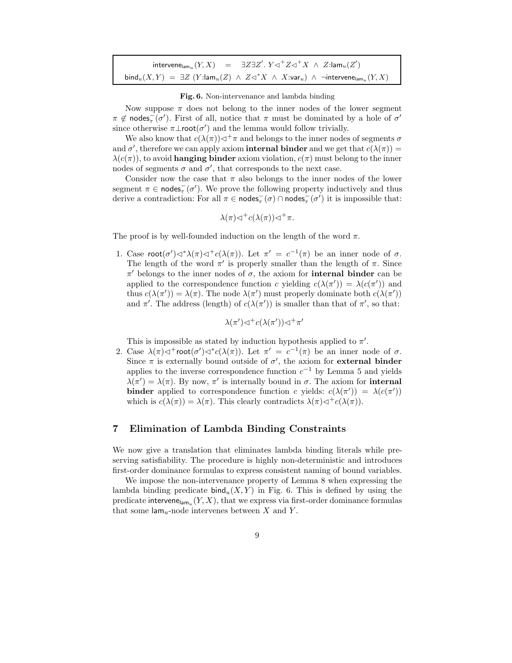| intervene <sub>lam</sub> <sub>u</sub> $(Y, X)$ = $\exists Z \exists Z'. Y \triangleleft^+ Z \triangleleft^+ X \wedge Z : \text{lam}_u(Z')$                            |
|-----------------------------------------------------------------------------------------------------------------------------------------------------------------------|
| $\textsf{bind}_u(X,Y) = \exists Z \ (Y:\textsf{lam}_u(Z) \ \wedge \ Z \lhd^* X \ \wedge \ X:\textsf{var}_u) \ \wedge \ \neg \textsf{intervene}_{\textsf{lam}_u}(Y,X)$ |

Fig. 6. Non-intervenance and lambda binding

Now suppose  $\pi$  does not belong to the inner nodes of the lower segment  $\pi \notin \text{nodes}_{\tau}(\sigma')$ . First of all, notice that  $\pi$  must be dominated by a hole of  $\sigma'$ since otherwise  $\pi\bot \text{root}(\sigma')$  and the lemma would follow trivially.

We also know that  $c(\lambda(\pi)) \triangleleft^+\pi$  and belongs to the inner nodes of segments  $\sigma$ and  $\sigma'$ , therefore we can apply axiom **internal binder** and we get that  $c(\lambda(\pi)) =$  $\lambda(c(\pi))$ , to avoid **hanging binder** axiom violation,  $c(\pi)$  must belong to the inner nodes of segments  $\sigma$  and  $\sigma'$ , that corresponds to the next case.

Consider now the case that  $\pi$  also belongs to the inner nodes of the lower segment  $\pi \in \text{nodes}_{\tau}(\sigma')$ . We prove the following property inductively and thus derive a contradiction: For all  $\pi \in \text{nodes}_{\tau}(\sigma) \cap \text{nodes}_{\tau}(\sigma')$  it is impossible that:

$$
\lambda(\pi)\lhd^+c(\lambda(\pi))\lhd^+\pi.
$$

The proof is by well-founded induction on the length of the word  $\pi$ .

1. Case  $\text{root}(\sigma') \triangleleft^* \lambda(\pi) \triangleleft^+ c(\lambda(\pi))$ . Let  $\pi' = c^{-1}(\pi)$  be an inner node of  $\sigma$ . The length of the word  $\pi'$  is properly smaller than the length of  $\pi$ . Since  $π'$  belongs to the inner nodes of  $σ$ , the axiom for **internal binder** can be applied to the correspondence function c yielding  $c(\lambda(\pi')) = \lambda(c(\pi'))$  and thus  $c(\lambda(\pi')) = \lambda(\pi)$ . The node  $\lambda(\pi')$  must properly dominate both  $c(\lambda(\pi'))$ and  $\pi'$ . The address (length) of  $c(\lambda(\pi'))$  is smaller than that of  $\pi'$ , so that:

$$
\lambda(\pi')\lhd^+c(\lambda(\pi'))\lhd^+\pi'
$$

This is impossible as stated by induction hypothesis applied to  $\pi'$ .

2. Case  $\lambda(\pi) \triangleleft^+$ root $(\sigma') \triangleleft^* c(\lambda(\pi))$ . Let  $\pi' = c^{-1}(\pi)$  be an inner node of  $\sigma$ . Since  $\pi$  is externally bound outside of  $\sigma'$ , the axiom for **external binder** applies to the inverse correspondence function  $c^{-1}$  by Lemma 5 and yields  $\lambda(\pi') = \lambda(\pi)$ . By now,  $\pi'$  is internally bound in  $\sigma$ . The axiom for **internal binder** applied to correspondence function c yields:  $c(\lambda(\pi')) = \lambda(c(\pi'))$ which is  $c(\lambda(\pi)) = \lambda(\pi)$ . This clearly contradicts  $\lambda(\pi) \triangleleft^+ c(\lambda(\pi))$ .

# 7 Elimination of Lambda Binding Constraints

We now give a translation that eliminates lambda binding literals while preserving satisfiability. The procedure is highly non-deterministic and introduces first-order dominance formulas to express consistent naming of bound variables.

We impose the non-intervenance property of Lemma 8 when expressing the lambda binding predicate  $\text{bind}_u(X, Y)$  in Fig. 6. This is defined by using the predicate intervene<sub>lam<sub>u</sub>  $(Y, X)$ , that we express via first-order dominance formulas</sub> that some  $\text{lam}_u$ -node intervenes between X and Y.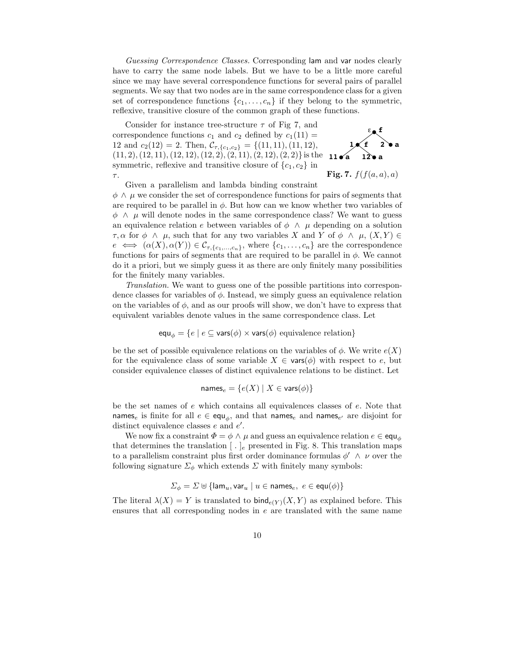Guessing Correspondence Classes. Corresponding lam and var nodes clearly have to carry the same node labels. But we have to be a little more careful since we may have several correspondence functions for several pairs of parallel segments. We say that two nodes are in the same correspondence class for a given set of correspondence functions  $\{c_1, \ldots, c_n\}$  if they belong to the symmetric, reflexive, transitive closure of the common graph of these functions.

> $E_{\clubsuit}$ f **f 2 a a**

**a**

 $11 \times a$ **1** Fig. 7.  $f(f(a, a), a)$ Consider for instance tree-structure  $\tau$  of Fig 7, and correspondence functions  $c_1$  and  $c_2$  defined by  $c_1(11)$  = 12 and  $c_2(12) = 2$ . Then,  $C_{\tau, \{c_1, c_2\}} = \{(11, 11), (11, 12),$  $(11, 2), (12, 11), (12, 12), (12, 2), (2, 11), (2, 12), (2, 2)$  is the symmetric, reflexive and transitive closure of  $\{c_1, c_2\}$  in  $\tau.$ 

Given a parallelism and lambda binding constraint  $\phi \wedge \mu$  we consider the set of correspondence functions for pairs of segments that are required to be parallel in  $\phi$ . But how can we know whether two variables of  $\phi \land \mu$  will denote nodes in the same correspondence class? We want to guess an equivalence relation e between variables of  $\phi \wedge \mu$  depending on a solution  $\tau, \alpha$  for  $\phi \land \mu$ , such that for any two variables X and Y of  $\phi \land \mu$ ,  $(X, Y) \in$  $e \iff (\alpha(X), \alpha(Y)) \in C_{\tau, \{c_1, ..., c_n\}}$ , where  $\{c_1, ..., c_n\}$  are the correspondence functions for pairs of segments that are required to be parallel in  $\phi$ . We cannot do it a priori, but we simply guess it as there are only finitely many possibilities for the finitely many variables.

Translation. We want to guess one of the possible partitions into correspondence classes for variables of  $\phi$ . Instead, we simply guess an equivalence relation on the variables of  $\phi$ , and as our proofs will show, we don't have to express that equivalent variables denote values in the same correspondence class. Let

$$
\mathsf{equ}_{\phi} = \{ e \mid e \subseteq \mathsf{vars}(\phi) \times \mathsf{vars}(\phi) \text{ equivalence relation} \}
$$

be the set of possible equivalence relations on the variables of  $\phi$ . We write  $e(X)$ for the equivalence class of some variable  $X \in \text{vars}(\phi)$  with respect to e, but consider equivalence classes of distinct equivalence relations to be distinct. Let

$$
\mathsf{names}_e = \{ e(X) \mid X \in \mathsf{vars}(\phi) \}
$$

be the set names of e which contains all equivalences classes of e. Note that names<sub>e</sub> is finite for all  $e \in \text{equ}_{\phi}$ , and that names<sub>e</sub> and names<sub>e'</sub> are disjoint for distinct equivalence classes  $e$  and  $e'$ .

We now fix a constraint  $\Phi = \phi \wedge \mu$  and guess an equivalence relation  $e \in \text{equ}_\phi$ that determines the translation  $[ \tcdot ]_e$  presented in Fig. 8. This translation maps to a parallelism constraint plus first order dominance formulas  $\phi' \wedge \nu$  over the following signature  $\Sigma_{\phi}$  which extends  $\Sigma$  with finitely many symbols:

$$
\Sigma_{\phi} = \Sigma \uplus \{ \mathsf{lam}_u, \mathsf{var}_u \mid u \in \mathsf{names}_e, \ e \in \mathsf{equ}(\phi) \}
$$

The literal  $\lambda(X) = Y$  is translated to  $\text{bind}_{e(Y)}(X, Y)$  as explained before. This ensures that all corresponding nodes in  $e$  are translated with the same name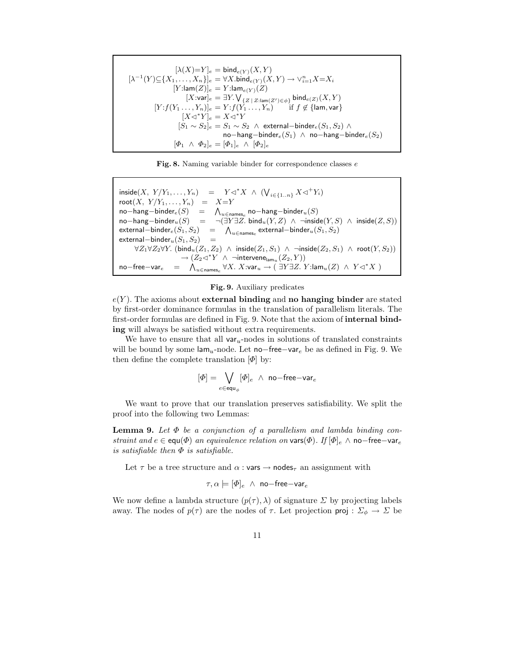$$
[\lambda(X)=Y]_e=\text{bind}_{e(Y)}(X,Y)\\ [\lambda^{-1}(Y)\subseteq\{X_1,\ldots,X_n\}]_e=\forall X.\text{bind}_{e(Y)}(X,Y)\rightarrow \vee_{i=1}^n X=X_i\\ [Y:\text{lam}(Z)]_e=Y:\text{lam}_{e(Y)}(Z)\\ [X:\text{var}]_e=\exists Y.\bigvee_{\{Z\,|\,Z:\text{lam}(Z')\in\phi\}}\text{bind}_{e(Z)}(X,Y)\\ [Y: f(Y_1\ldots,Y_n)]_e=Y: f(Y_1\ldots,Y_n)\quad\text{if }f\notin\{\text{lam},\text{var}\}\\ [X\lhd^*Y]_e=X\lhd^*Y\\ [S_1\sim S_2]_e=S_1\sim S_2\;\wedge\;\text{external–binder}_e(S_1,S_2)\;\wedge\\ \text{no–hang–binder}_e(S_1)\;\wedge\;\text{no–hang–binder}_e(S_2)\\ [\Phi_1\;\wedge\;\Phi_2]_e=[\Phi_1]_e\;\wedge\; [\Phi_2]_e
$$

|  |  |  |  |  |  | Fig. 8. Naming variable binder for correspondence classes e |  |  |
|--|--|--|--|--|--|-------------------------------------------------------------|--|--|
|--|--|--|--|--|--|-------------------------------------------------------------|--|--|

 $inside(X, Y/Y_1, \ldots, Y_n) = Y   
\nroot(X, Y/Y_1, \ldots, Y_n) = X=Y$  $V_{i \in \{1..n\}} X \triangleleft^+ Y_i$  $\textsf{root}(X, Y/Y_1, \ldots, Y_n) =$  $no-hang-binder_e(S)$  =<br>no−hang−binder<sub>u</sub>(S) =  $\bigwedge_{u \in \text{names}_e} \textsf{no-hang-binder}_u(S)$  $\neg(\exists Y \exists Z. \text{ bind}_u(Y, Z) \land \neg \text{inside}(Y, S) \land \text{ inside}(Z, S))$ <br>  $= \bigwedge_{u \in \text{name}} \text{external} - \text{binder}_u(S_1, S_2)$ external−binder $e(S_1, S_2)$  =<br>external−binder<sub>u</sub>(S<sub>1</sub>, S<sub>2</sub>) =  $\bigwedge_{u\in\mathsf{names}_e} \mathsf{external}-\mathsf{binder}_u(S_1,S_2)$ external $-$ binder $_u(S_1, S_2)$  $\forall Z_1 \forall Z_2 \forall Y$ . (bind $_u(Z_1, Z_2) \land \text{inside}(Z_1, S_1) \land \neg \text{inside}(Z_2, S_1) \land \text{root}(Y, S_2)$ )  $\rightarrow$   $(Z_2 \triangleleft^* Y \wedge \neg$ intervene $\lim_{u \to u} (Z_2, Y))$  $no-free-var_e$  $= \quad \bigwedge\nolimits_{u \in \mathsf{names}_e} \forall X. \ X{:}\mathsf{var}_u \rightarrow \big(\ \exists Y \exists Z. \ Y{:}\mathsf{lam}_u(Z) \ \wedge \ Y{\lhd^* X }\ \big)$ 

#### Fig. 9. Auxiliary predicates

 $e(Y)$ . The axioms about **external binding** and **no hanging binder** are stated by first-order dominance formulas in the translation of parallelism literals. The first-order formulas are defined in Fig. 9. Note that the axiom of internal binding will always be satisfied without extra requirements.

We have to ensure that all  $var_u$ -nodes in solutions of translated constraints will be bound by some lam<sub>u</sub>-node. Let no–free–var<sub>e</sub> be as defined in Fig. 9. We then define the complete translation  $[\Phi]$  by:

$$
[\varPhi]=\bigvee_{e\in\operatorname{equ}_{\phi}}[\varPhi]_e\;\wedge\;\text{no-free-var}_e
$$

We want to prove that our translation preserves satisfiability. We split the proof into the following two Lemmas:

**Lemma 9.** Let  $\Phi$  be a conjunction of a parallelism and lambda binding constraint and  $e \in \text{equ}(\Phi)$  an equivalence relation on vars $(\Phi)$ . If  $[\Phi]_e \wedge \text{no-free-var}_e$ is satisfiable then  $\Phi$  is satisfiable.

Let  $\tau$  be a tree structure and  $\alpha$ : vars  $\rightarrow$  nodes<sub> $\tau$ </sub> an assignment with

$$
\tau, \alpha \models [\varPhi]_e \ \land \ \mathsf{no-free-var}_e
$$

We now define a lambda structure  $(p(\tau), \lambda)$  of signature  $\Sigma$  by projecting labels away. The nodes of  $p(\tau)$  are the nodes of  $\tau$ . Let projection **proj** :  $\Sigma_{\phi} \to \Sigma$  be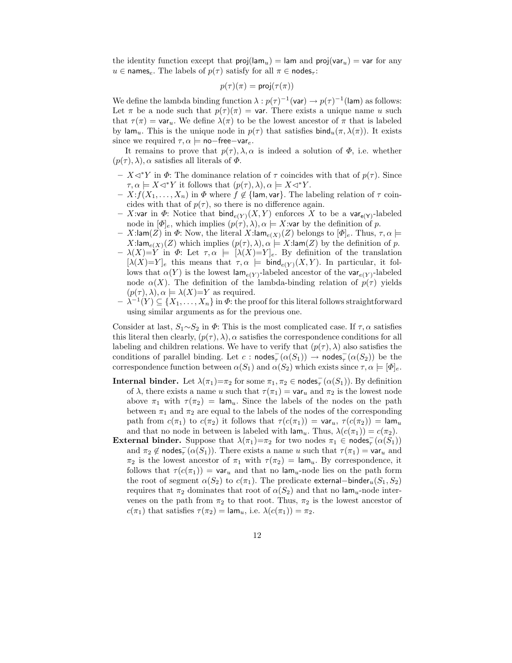the identity function except that  $proj(\text{lam}_u) = \text{lam}$  and  $proj(\text{var}_u) = \text{var}$  for any  $u \in \text{names}_{\varepsilon}$ . The labels of  $p(\tau)$  satisfy for all  $\pi \in \text{nodes}_{\tau}$ :

$$
p(\tau)(\pi) = \mathsf{proj}(\tau(\pi))
$$

We define the lambda binding function  $\lambda : p(\tau)^{-1}(\text{var}) \to p(\tau)^{-1}(\text{lam})$  as follows: Let  $\pi$  be a node such that  $p(\tau)(\pi) = \text{var}$ . There exists a unique name u such that  $\tau(\pi) = \text{var}_u$ . We define  $\lambda(\pi)$  to be the lowest ancestor of  $\pi$  that is labeled by lam<sub>u</sub>. This is the unique node in  $p(\tau)$  that satisfies bind<sub>u</sub> $(\pi, \lambda(\pi))$ . It exists since we required  $\tau, \alpha \models \text{no-free-var}_e$ .

It remains to prove that  $p(\tau)$ ,  $\lambda$ ,  $\alpha$  is indeed a solution of  $\Phi$ , i.e. whether  $(p(\tau), \lambda), \alpha$  satisfies all literals of  $\Phi$ .

- $X \triangleleft^* Y$  in Φ: The dominance relation of τ coincides with that of  $p(τ)$ . Since  $\tau, \alpha \models X \lhd^* Y$  it follows that  $(p(\tau), \lambda), \alpha \models X \lhd^* Y$ .
- $X: f(X_1, \ldots, X_n)$  in  $\Phi$  where  $f \notin \{\text{lam}, \text{var}\}.$  The labeling relation of  $\tau$  coincides with that of  $p(\tau)$ , so there is no difference again.
- X:var in  $\Phi$ : Notice that bind<sub>e(Y)</sub>(X,Y) enforces X to be a var<sub>e(Y)</sub>-labeled node in  $[\Phi]_e$ , which implies  $(p(\tau), \lambda), \alpha \models X$ :var by the definition of p.
- X:lam(Z) in  $\Phi$ : Now, the literal X:lam<sub>e(X)</sub>(Z) belongs to  $[\Phi]_e$ . Thus,  $\tau, \alpha \models$ X:lam<sub>e(X)</sub>(Z) which implies  $(p(\tau), \lambda), \alpha \models X$ :lam(Z) by the definition of p.
- $-\lambda(X)=Y$  in  $\Phi$ : Let  $\tau,\alpha \models [\lambda(X)=Y]_e$ . By definition of the translation  $[\lambda(X)=Y]_e$  this means that  $\tau,\alpha \models \text{bind}_{e(Y)}(X,Y)$ . In particular, it follows that  $\alpha(Y)$  is the lowest lam<sub>e(Y)</sub>-labeled ancestor of the var<sub>e(Y)</sub>-labeled node  $\alpha(X)$ . The definition of the lambda-binding relation of  $p(\tau)$  yields  $(p(\tau), \lambda), \alpha \models \lambda(X)=Y$  as required.
- $\lambda^{-1}(Y) \subseteq \{X_1, \ldots, X_n\}$  in  $\Phi$ : the proof for this literal follows straightforward using similar arguments as for the previous one.

Consider at last,  $S_1 \sim S_2$  in  $\Phi$ : This is the most complicated case. If  $\tau$ ,  $\alpha$  satisfies this literal then clearly,  $(p(\tau), \lambda)$ ,  $\alpha$  satisfies the correspondence conditions for all labeling and children relations. We have to verify that  $(p(\tau), \lambda)$  also satisfies the conditions of parallel binding. Let  $c : \text{nodes}_{\tau}(\alpha(S_1)) \to \text{nodes}_{\tau}(\alpha(S_2))$  be the correspondence function between  $\alpha(S_1)$  and  $\alpha(S_2)$  which exists since  $\tau, \alpha \models [\Phi]_e$ .

- **Internal binder.** Let  $\lambda(\pi_1) = \pi_2$  for some  $\pi_1, \pi_2 \in \text{nodes}_\tau(\alpha(S_1))$ . By definition of  $\lambda$ , there exists a name u such that  $\tau(\pi_1) = \text{var}_u$  and  $\pi_2$  is the lowest node above  $\pi_1$  with  $\tau(\pi_2) = \text{lam}_u$ . Since the labels of the nodes on the path between  $\pi_1$  and  $\pi_2$  are equal to the labels of the nodes of the corresponding path from  $c(\pi_1)$  to  $c(\pi_2)$  it follows that  $\tau(c(\pi_1)) = \text{var}_u$ ,  $\tau(c(\pi_2)) = \text{lam}_u$ and that no node in between is labeled with  $\mathsf{lam}_u$ . Thus,  $\lambda(c(\pi_1)) = c(\pi_2)$ .
- External binder. Suppose that  $\lambda(\pi_1) = \pi_2$  for two nodes  $\pi_1 \in \text{nodes}_{\tau}(\alpha(S_1))$ and  $\pi_2 \notin \text{nodes}_{\tau}(\alpha(S_1))$ . There exists a name u such that  $\tau(\pi_1) = \text{var}_u$  and  $\pi_2$  is the lowest ancestor of  $\pi_1$  with  $\tau(\pi_2) = \text{lam}_u$ . By correspondence, it follows that  $\tau(c(\pi_1)) = \text{var}_u$  and that no lam<sub>u</sub>-node lies on the path form the root of segment  $\alpha(S_2)$  to  $c(\pi_1)$ . The predicate external–binder<sub>u</sub> $(S_1, S_2)$ requires that  $\pi_2$  dominates that root of  $\alpha(S_2)$  and that no lam<sub>u</sub>-node intervenes on the path from  $\pi_2$  to that root. Thus,  $\pi_2$  is the lowest ancestor of  $c(\pi_1)$  that satisfies  $\tau(\pi_2) = \text{lam}_u$ , i.e.  $\lambda(c(\pi_1)) = \pi_2$ .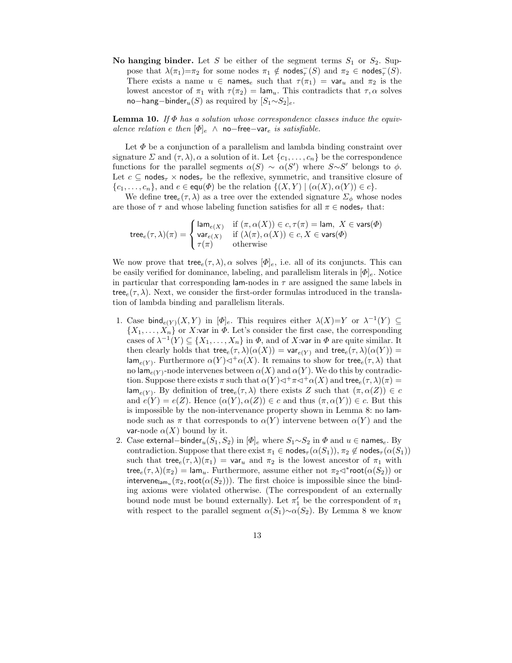No hanging binder. Let S be either of the segment terms  $S_1$  or  $S_2$ . Suppose that  $\lambda(\pi_1)=\pi_2$  for some nodes  $\pi_1 \notin \text{nodes}_{\tau}^{-}(S)$  and  $\pi_2 \in \text{nodes}_{\tau}^{-}(S)$ . There exists a name  $u \in \mathsf{names}_e$  such that  $\tau(\pi_1) = \mathsf{var}_u$  and  $\pi_2$  is the lowest ancestor of  $\pi_1$  with  $\tau(\pi_2) = \text{lam}_u$ . This contradicts that  $\tau, \alpha$  solves no−hang−binder<sub>u</sub>(S) as required by  $[S_1 \sim S_2]_e$ .

**Lemma 10.** If  $\Phi$  has a solution whose correspondence classes induce the equivalence relation e then  $[\Phi]_e$  ∧ no−free−var<sub>e</sub> is satisfiable.

Let  $\Phi$  be a conjunction of a parallelism and lambda binding constraint over signature  $\Sigma$  and  $(\tau, \lambda)$ ,  $\alpha$  a solution of it. Let  $\{c_1, \ldots, c_n\}$  be the correspondence functions for the parallel segments  $\alpha(S) \sim \alpha(S')$  where  $S \sim S'$  belongs to  $\phi$ . Let  $c \subseteq \text{nodes}_{\tau} \times \text{nodes}_{\tau}$  be the reflexive, symmetric, and transitive closure of  $\{c_1, \ldots, c_n\}$ , and  $e \in \text{equ}(\Phi)$  be the relation  $\{(X, Y) | (\alpha(X), \alpha(Y)) \in c\}$ .

We define tree<sub>e</sub>( $\tau$ ,  $\lambda$ ) as a tree over the extended signature  $\Sigma_{\phi}$  whose nodes are those of  $\tau$  and whose labeling function satisfies for all  $\pi \in \text{nodes}_{\tau}$  that:

$$
\mathsf{tree}_e(\tau,\lambda)(\pi) = \begin{cases} \mathsf{lam}_{e(X)} & \text{if } (\pi,\alpha(X)) \in c, \tau(\pi) = \mathsf{lam}, \ X \in \mathsf{vars}(\varPhi) \\ \mathsf{var}_{e(X)} & \text{if } (\lambda(\pi),\alpha(X)) \in c, X \in \mathsf{vars}(\varPhi) \\ \tau(\pi) & \text{otherwise} \end{cases}
$$

We now prove that tree $e(\tau, \lambda)$ ,  $\alpha$  solves  $[\Phi]_e$ , i.e. all of its conjuncts. This can be easily verified for dominance, labeling, and parallelism literals in  $[\Phi]_e$ . Notice in particular that corresponding lam-nodes in  $\tau$  are assigned the same labels in tree<sub>e</sub> $(\tau, \lambda)$ . Next, we consider the first-order formulas introduced in the translation of lambda binding and parallelism literals.

- 1. Case bind $_{e(Y)}(X, Y)$  in  $[\Phi]_e$ . This requires either  $\lambda(X)=Y$  or  $\lambda^{-1}(Y) \subseteq$  $\{X_1, \ldots, X_n\}$  or X:var in  $\Phi$ . Let's consider the first case, the corresponding cases of  $\lambda^{-1}(Y) \subseteq \{X_1,\ldots,X_n\}$  in  $\Phi$ , and of X:var in  $\Phi$  are quite similar. It then clearly holds that tree $e(\tau, \lambda)(\alpha(X)) = \text{var}_{e(Y)}$  and tree $e(\tau, \lambda)(\alpha(Y)) =$  $\textsf{lam}_{e(Y)}$ . Furthermore  $\alpha(Y) \triangleleft^+\alpha(X)$ . It remains to show for tree $_e(\tau, \lambda)$  that no lam<sub>e(Y)</sub>-node intervenes between  $\alpha(X)$  and  $\alpha(Y)$ . We do this by contradiction. Suppose there exists  $\pi$  such that  $\alpha(Y) \lhd^+\pi \lhd^+\alpha(X)$  and tree $e(\tau, \lambda)(\pi) =$  $\textsf{lam}_{e(Y)}$ . By definition of tree $e(\tau, \lambda)$  there exists Z such that  $(\pi, \alpha(Z)) \in c$ and  $e(Y) = e(Z)$ . Hence  $(\alpha(Y), \alpha(Z)) \in c$  and thus  $(\pi, \alpha(Y)) \in c$ . But this is impossible by the non-intervenance property shown in Lemma 8: no lamnode such as  $\pi$  that corresponds to  $\alpha(Y)$  intervene between  $\alpha(Y)$  and the var-node  $\alpha(X)$  bound by it.
- 2. Case external–binder<sub>u</sub>(S<sub>1</sub>, S<sub>2</sub>) in  $[\Phi]_e$  where  $S_1 \sim S_2$  in  $\Phi$  and  $u \in \text{names}_{e}$ . By contradiction. Suppose that there exist  $\pi_1 \in \text{nodes}_{\tau}(\alpha(S_1)), \pi_2 \notin \text{nodes}_{\tau}(\alpha(S_1))$ such that tree $e(\tau, \lambda)(\pi_1) = \text{var}_u$  and  $\pi_2$  is the lowest ancestor of  $\pi_1$  with  $\text{tree}_e(\tau, \lambda)(\pi_2) = \text{lam}_u$ . Furthermore, assume either not  $\pi_2 \triangleleft^*$ root $(\alpha(S_2))$  or intervene<sub>lam<sub>u</sub> ( $\pi_2$ , root( $\alpha(S_2)$ )). The first choice is impossible since the bind-</sub> ing axioms were violated otherwise. (The correspondent of an externally bound node must be bound externally). Let  $\pi'_1$  be the correspondent of  $\pi_1$ with respect to the parallel segment  $\alpha(S_1) \sim \alpha(S_2)$ . By Lemma 8 we know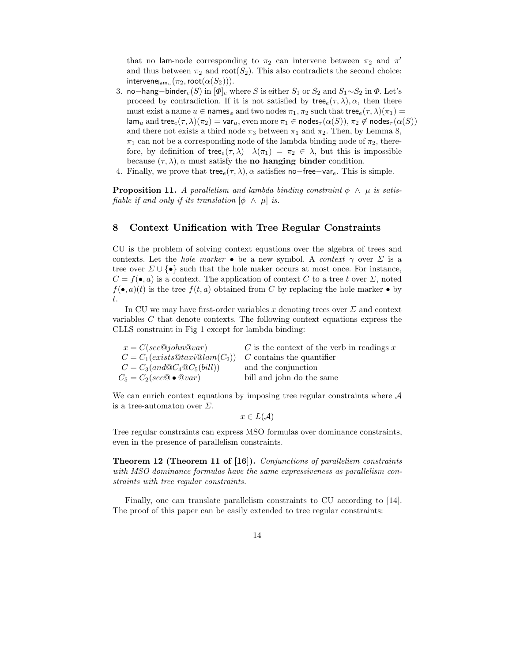that no lam-node corresponding to  $\pi_2$  can intervene between  $\pi_2$  and  $\pi'$ and thus between  $\pi_2$  and root( $S_2$ ). This also contradicts the second choice: intervene $_{\mathsf{lam}_u}(\pi_2, \mathsf{root}(\alpha(S_2))).$ 

- 3. no−hang−binder<sub>e</sub>(S) in  $[\Phi]_e$  where S is either S<sub>1</sub> or S<sub>2</sub> and S<sub>1</sub>∼S<sub>2</sub> in  $\Phi$ . Let's proceed by contradiction. If it is not satisfied by  $\mathsf{tree}_e(\tau, \lambda), \alpha$ , then there must exist a name  $u \in \mathsf{names}_\phi$  and two nodes  $\pi_1, \pi_2$  such that tree $e^{(\tau, \lambda)(\pi_1)}$  $\lim_{u \to u}$  and tree $e(\tau, \lambda)(\pi_2) = \text{var}_u$ , even more  $\pi_1 \in \text{nodes}_{\tau}(\alpha(S)), \pi_2 \notin \text{nodes}_{\tau}(\alpha(S))$ and there not exists a third node  $\pi_3$  between  $\pi_1$  and  $\pi_2$ . Then, by Lemma 8,  $\pi_1$  can not be a corresponding node of the lambda binding node of  $\pi_2$ , therefore, by definition of tree $(\tau, \lambda)$   $\lambda(\pi_1) = \pi_2 \in \lambda$ , but this is impossible because  $(\tau, \lambda)$ ,  $\alpha$  must satisfy the **no hanging binder** condition.
- 4. Finally, we prove that tree $e(\tau, \lambda)$ ,  $\alpha$  satisfies no−free−var $e$ . This is simple.

**Proposition 11.** A parallelism and lambda binding constraint  $\phi \wedge \mu$  is satisfiable if and only if its translation  $\phi \wedge \mu$  is.

# 8 Context Unification with Tree Regular Constraints

CU is the problem of solving context equations over the algebra of trees and contexts. Let the *hole marker* • be a new symbol. A *context*  $\gamma$  over  $\Sigma$  is a tree over  $\Sigma \cup {\{\bullet\}}$  such that the hole maker occurs at most once. For instance,  $C = f(\bullet, a)$  is a context. The application of context C to a tree t over  $\Sigma$ , noted  $f(\bullet, a)(t)$  is the tree  $f(t, a)$  obtained from C by replacing the hole marker  $\bullet$  by t.

In CU we may have first-order variables x denoting trees over  $\Sigma$  and context variables C that denote contexts. The following context equations express the CLLS constraint in Fig 1 except for lambda binding:

| $x = C(see@john@var)$                               | $C$ is the context of the verb in readings $x$ |
|-----------------------------------------------------|------------------------------------------------|
| $C = C_1(exists@taxi@lam(C_2))$                     | $C$ contains the quantifier                    |
| $C = C_3(and \mathbb{Q}C_4 \mathbb{Q}C_5(bill))$    | and the conjunction                            |
| $C_5 = C_2 (see \mathbb{Q} \bullet \mathbb{Q} var)$ | bill and john do the same                      |
|                                                     |                                                |

We can enrich context equations by imposing tree regular constraints where  $A$ is a tree-automaton over  $\Sigma$ .

 $x \in L(\mathcal{A})$ 

Tree regular constraints can express MSO formulas over dominance constraints, even in the presence of parallelism constraints.

Theorem 12 (Theorem 11 of [16]). Conjunctions of parallelism constraints with MSO dominance formulas have the same expressiveness as parallelism constraints with tree regular constraints.

Finally, one can translate parallelism constraints to CU according to [14]. The proof of this paper can be easily extended to tree regular constraints: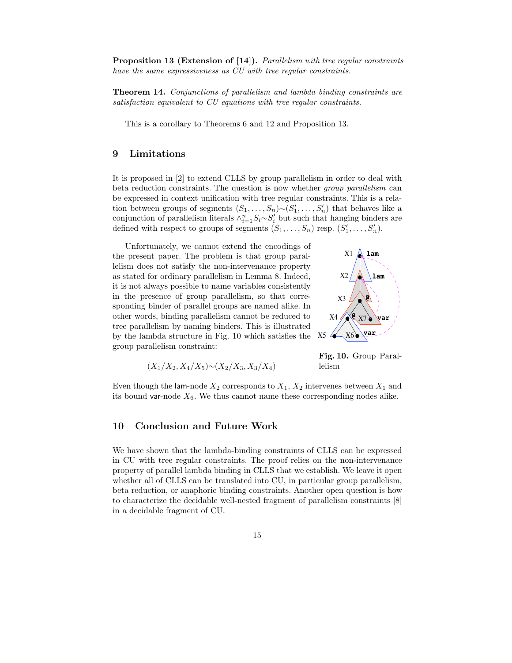Proposition 13 (Extension of [14]). *Parallelism with tree regular constraints* have the same expressiveness as CU with tree regular constraints.

Theorem 14. Conjunctions of parallelism and lambda binding constraints are satisfaction equivalent to CU equations with tree regular constraints.

This is a corollary to Theorems 6 and 12 and Proposition 13.

# 9 Limitations

It is proposed in [2] to extend CLLS by group parallelism in order to deal with beta reduction constraints. The question is now whether group parallelism can be expressed in context unification with tree regular constraints. This is a relation between groups of segments  $(S_1, \ldots, S_n) \sim (S'_1, \ldots, S'_n)$  that behaves like a conjunction of parallelism literals  $\wedge_{i=1}^{n} S_i \sim S_i'$  but such that hanging binders are defined with respect to groups of segments  $(S_1, \ldots, S_n)$  resp.  $(S'_1, \ldots, S'_n)$ .

Unfortunately, we cannot extend the encodings of the present paper. The problem is that group parallelism does not satisfy the non-intervenance property as stated for ordinary parallelism in Lemma 8. Indeed, it is not always possible to name variables consistently in the presence of group parallelism, so that corresponding binder of parallel groups are named alike. In other words, binding parallelism cannot be reduced to tree parallelism by naming binders. This is illustrated by the lambda structure in Fig. 10 which satisfies the group parallelism constraint:



$$
(X_1/X_2, X_4/X_5) {\sim} (X_2/X_3, X_3/X_4)
$$

Fig. 10. Group Parallelism

Even though the lam-node  $X_2$  corresponds to  $X_1, X_2$  intervenes between  $X_1$  and its bound var-node  $X_6$ . We thus cannot name these corresponding nodes alike.

# 10 Conclusion and Future Work

We have shown that the lambda-binding constraints of CLLS can be expressed in CU with tree regular constraints. The proof relies on the non-intervenance property of parallel lambda binding in CLLS that we establish. We leave it open whether all of CLLS can be translated into CU, in particular group parallelism, beta reduction, or anaphoric binding constraints. Another open question is how to characterize the decidable well-nested fragment of parallelism constraints [8] in a decidable fragment of CU.